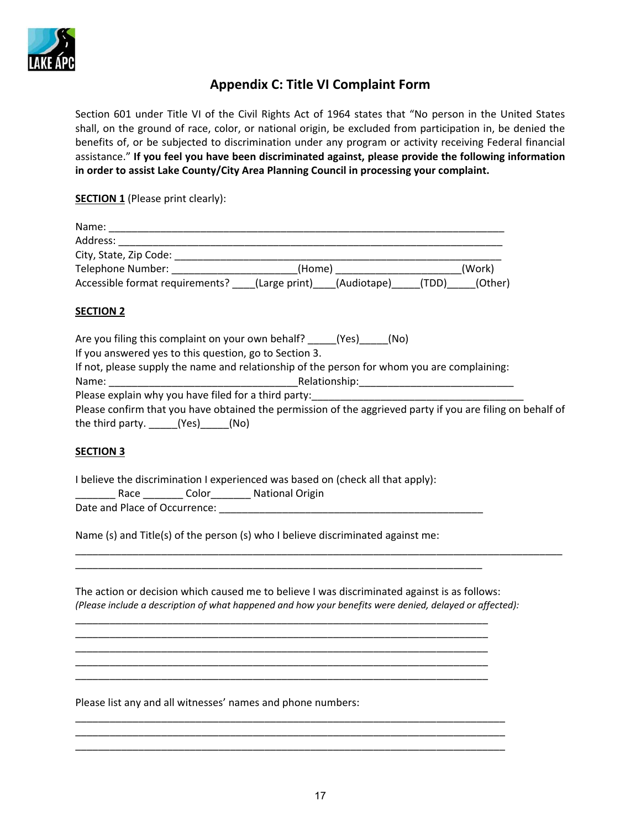

# **Appendix C: Title VI Complaint Form**

Section 601 under Title VI of the Civil Rights Act of 1964 states that "No person in the United States shall, on the ground of race, color, or national origin, be excluded from participation in, be denied the benefits of, or be subjected to discrimination under any program or activity receiving Federal financial assistance." **If you feel you have been discriminated against, please provide the following information in order to assist Lake County/City Area Planning Council in processing your complaint.** 

**SECTION 1** (Please print clearly):

| Name:                           |               |             |        |         |
|---------------------------------|---------------|-------------|--------|---------|
| Address:                        |               |             |        |         |
| City, State, Zip Code:          |               |             |        |         |
| Telephone Number:               | (Home)        |             | (Work) |         |
| Accessible format requirements? | (Large print) | (Audiotape) | (TDD)  | (Other) |

## **SECTION 2**

| Are you filing this complaint on your own behalf?<br>(No)<br>(Yes)                                         |  |
|------------------------------------------------------------------------------------------------------------|--|
| If you answered yes to this question, go to Section 3.                                                     |  |
| If not, please supply the name and relationship of the person for whom you are complaining:                |  |
| Relationship:<br>Name:                                                                                     |  |
| Please explain why you have filed for a third party:                                                       |  |
| Please confirm that you have obtained the permission of the aggrieved party if you are filing on behalf of |  |
| the third party. $(Yes)$ $(No)$                                                                            |  |

## **SECTION 3**

I believe the discrimination I experienced was based on (check all that apply):

\_\_\_\_\_\_\_ Race \_\_\_\_\_\_\_ Color\_\_\_\_\_\_\_ National Origin Date and Place of Occurrence: \_\_\_\_\_\_\_\_\_\_\_\_\_\_\_\_\_\_\_\_\_\_\_\_\_\_\_\_\_\_\_\_\_\_\_\_\_\_\_\_\_\_\_\_\_\_

Name (s) and Title(s) of the person (s) who I believe discriminated against me:

The action or decision which caused me to believe I was discriminated against is as follows: *(Please include a description of what happened and how your benefits were denied, delayed or affected):* 

\_\_\_\_\_\_\_\_\_\_\_\_\_\_\_\_\_\_\_\_\_\_\_\_\_\_\_\_\_\_\_\_\_\_\_\_\_\_\_\_\_\_\_\_\_\_\_\_\_\_\_\_\_\_\_\_\_\_\_\_\_\_\_\_\_\_\_\_\_\_\_

\_\_\_\_\_\_\_\_\_\_\_\_\_\_\_\_\_\_\_\_\_\_\_\_\_\_\_\_\_\_\_\_\_\_\_\_\_\_\_\_\_\_\_\_\_\_\_\_\_\_\_\_\_\_\_\_\_\_\_\_\_\_\_\_\_\_\_\_\_\_\_\_ \_\_\_\_\_\_\_\_\_\_\_\_\_\_\_\_\_\_\_\_\_\_\_\_\_\_\_\_\_\_\_\_\_\_\_\_\_\_\_\_\_\_\_\_\_\_\_\_\_\_\_\_\_\_\_\_\_\_\_\_\_\_\_\_\_\_\_\_\_\_\_\_ \_\_\_\_\_\_\_\_\_\_\_\_\_\_\_\_\_\_\_\_\_\_\_\_\_\_\_\_\_\_\_\_\_\_\_\_\_\_\_\_\_\_\_\_\_\_\_\_\_\_\_\_\_\_\_\_\_\_\_\_\_\_\_\_\_\_\_\_\_\_\_\_ \_\_\_\_\_\_\_\_\_\_\_\_\_\_\_\_\_\_\_\_\_\_\_\_\_\_\_\_\_\_\_\_\_\_\_\_\_\_\_\_\_\_\_\_\_\_\_\_\_\_\_\_\_\_\_\_\_\_\_\_\_\_\_\_\_\_\_\_\_\_\_\_ \_\_\_\_\_\_\_\_\_\_\_\_\_\_\_\_\_\_\_\_\_\_\_\_\_\_\_\_\_\_\_\_\_\_\_\_\_\_\_\_\_\_\_\_\_\_\_\_\_\_\_\_\_\_\_\_\_\_\_\_\_\_\_\_\_\_\_\_\_\_\_\_

\_\_\_\_\_\_\_\_\_\_\_\_\_\_\_\_\_\_\_\_\_\_\_\_\_\_\_\_\_\_\_\_\_\_\_\_\_\_\_\_\_\_\_\_\_\_\_\_\_\_\_\_\_\_\_\_\_\_\_\_\_\_\_\_\_\_\_\_\_\_\_\_\_\_\_ \_\_\_\_\_\_\_\_\_\_\_\_\_\_\_\_\_\_\_\_\_\_\_\_\_\_\_\_\_\_\_\_\_\_\_\_\_\_\_\_\_\_\_\_\_\_\_\_\_\_\_\_\_\_\_\_\_\_\_\_\_\_\_\_\_\_\_\_\_\_\_\_\_\_\_ \_\_\_\_\_\_\_\_\_\_\_\_\_\_\_\_\_\_\_\_\_\_\_\_\_\_\_\_\_\_\_\_\_\_\_\_\_\_\_\_\_\_\_\_\_\_\_\_\_\_\_\_\_\_\_\_\_\_\_\_\_\_\_\_\_\_\_\_\_\_\_\_\_\_\_

\_\_\_\_\_\_\_\_\_\_\_\_\_\_\_\_\_\_\_\_\_\_\_\_\_\_\_\_\_\_\_\_\_\_\_\_\_\_\_\_\_\_\_\_\_\_\_\_\_\_\_\_\_\_\_\_\_\_\_\_\_\_\_\_\_\_\_\_\_\_\_\_\_\_\_\_\_\_\_\_\_\_\_\_\_

Please list any and all witnesses' names and phone numbers: